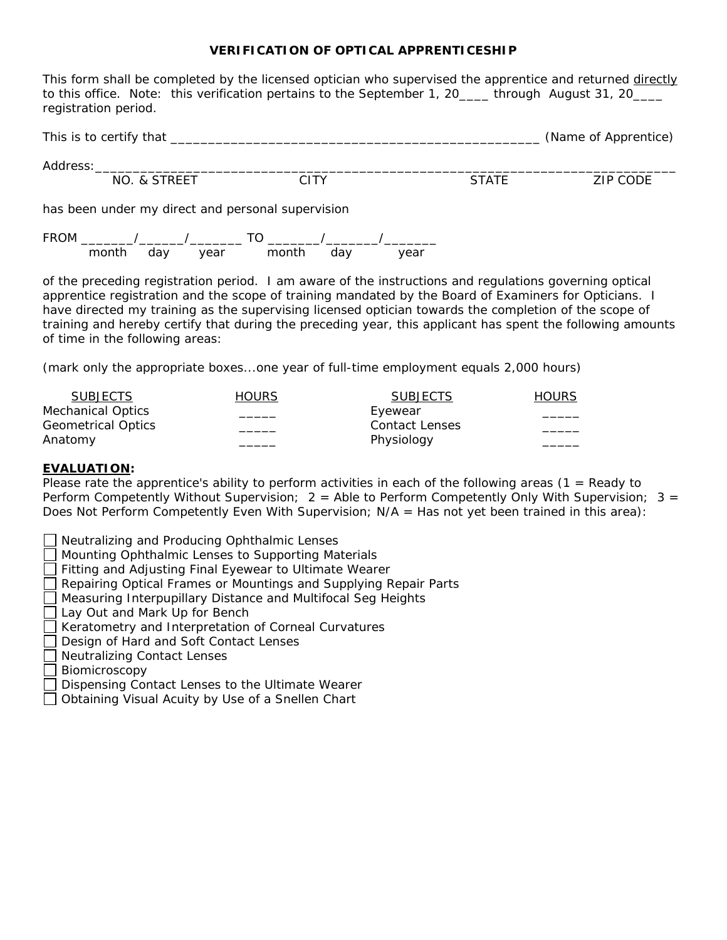## **VERIFICATION OF OPTICAL APPRENTICESHIP**

This form shall be completed by the licensed optician who supervised the apprentice and returned directly to this office. Note: this verification pertains to the September 1, 20\_\_\_\_ through August 31, 20\_\_\_ registration period.

|          |                                                   |      |              | (Name of Apprentice) |
|----------|---------------------------------------------------|------|--------------|----------------------|
| Address: |                                                   |      |              |                      |
|          | NO. & STREET                                      | CITY | <b>STATE</b> | ZIP CODE             |
|          | has been under my direct and personal supervision |      |              |                      |

FROM \_\_\_\_\_\_\_/\_\_\_\_\_\_/\_\_\_\_\_\_\_ TO \_\_\_\_\_\_\_/\_\_\_\_\_\_\_/\_\_\_\_\_\_\_ month day year month day year

of the preceding registration period. I am aware of the instructions and regulations governing optical apprentice registration and the scope of training mandated by the Board of Examiners for Opticians. I have directed my training as the supervising licensed optician towards the completion of the scope of training and hereby certify that during the preceding year, this applicant has spent the following amounts of time in the following areas:

(mark only the appropriate boxes...one year of full-time employment equals 2,000 hours)

| <b>SUBJECTS</b>           | <b>HOURS</b> | <b>SUBJECTS</b>       | <b>HOURS</b> |
|---------------------------|--------------|-----------------------|--------------|
| <b>Mechanical Optics</b>  |              | Eyewear               |              |
| <b>Geometrical Optics</b> |              | <b>Contact Lenses</b> |              |
| Anatomy                   |              | Physiology            |              |

## **EVALUATION:**

Please rate the apprentice's ability to perform activities in each of the following areas ( $1 =$  Ready to Perform Competently Without Supervision;  $2 =$  Able to Perform Competently Only With Supervision;  $3 =$ Does Not Perform Competently Even With Supervision;  $N/A = Has$  not yet been trained in this area):

- Neutralizing and Producing Ophthalmic Lenses
- Mounting Ophthalmic Lenses to Supporting Materials
- Fitting and Adjusting Final Eyewear to Ultimate Wearer
- Repairing Optical Frames or Mountings and Supplying Repair Parts
- Measuring Interpupillary Distance and Multifocal Seg Heights
- Lay Out and Mark Up for Bench
- Keratometry and Interpretation of Corneal Curvatures
- Design of Hard and Soft Contact Lenses
- Neutralizing Contact Lenses
- Biomicroscopy
- Dispensing Contact Lenses to the Ultimate Wearer
- □ Obtaining Visual Acuity by Use of a Snellen Chart